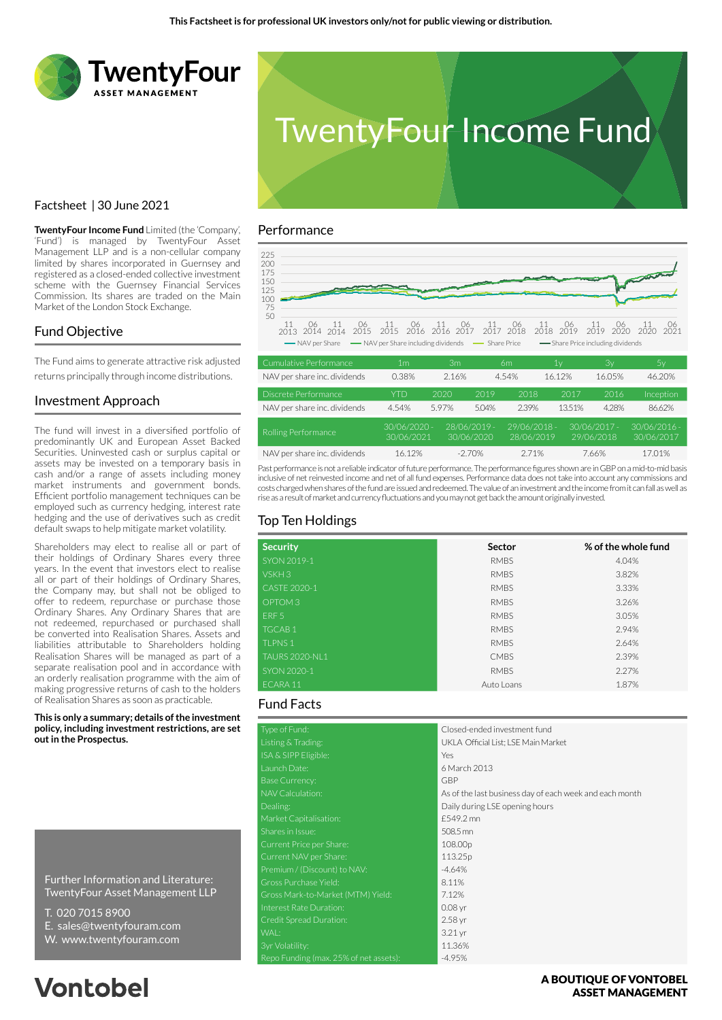



#### Performance



| Cumulative Performance       | 1m                         | Зm    |                            | 6m                         | 1v     | Зv                           | Ъν                           |
|------------------------------|----------------------------|-------|----------------------------|----------------------------|--------|------------------------------|------------------------------|
| NAV per share inc. dividends | 0.38%                      | 2.16% |                            | 4.54%                      | 16.12% | 16.05%                       | 46.20%                       |
| Discrete Performance         | <b>YTD</b>                 | 2020  | 2019                       | 2018                       | 2017   | 2016                         | Inception                    |
| NAV per share inc. dividends | 4.54%                      | 5.97% | 5.04%                      | 2.39%                      | 13.51% | 4.28%                        | 86.62%                       |
| Rolling Performance          | 30/06/2020 -<br>30/06/2021 |       | 28/06/2019 -<br>30/06/2020 | 29/06/2018 -<br>28/06/2019 |        | $30/06/2017 -$<br>29/06/2018 | $30/06/2016 -$<br>30/06/2017 |
| NAV per share inc. dividends | 16.12%                     |       | $-2.70\%$                  | 2.71%                      |        | 7.66%                        | 17.01%                       |

Past performance is not a reliable indicator of future performance. The performance figures shown are in GBP on a mid-to-mid basis inclusive of net reinvested income and net of all fund expenses. Performance data does not take into account any commissions and costs charged when shares of the fund are issued and redeemed. The value of an investment and the income from it can fall as well as rise as a result of market and currency fluctuations and you may not get back the amount originally invested.

# Top Ten Holdings

| <b>Security</b>       | Sector      | % of the whole fund |
|-----------------------|-------------|---------------------|
| SYON 2019-1           | <b>RMBS</b> | 4.04%               |
| VSKH3                 | <b>RMBS</b> | 3.82%               |
| CASTE 2020-1          | <b>RMBS</b> | 3.33%               |
| OPTOM <sub>3</sub>    | <b>RMBS</b> | 3.26%               |
| ERF <sub>5</sub>      | <b>RMBS</b> | 3.05%               |
| <b>TGCAB1</b>         | <b>RMBS</b> | 2.94%               |
| <b>TLPNS1</b>         | <b>RMBS</b> | 2.64%               |
| <b>TAURS 2020-NL1</b> | <b>CMBS</b> | 2.39%               |
| SYON 2020-1           | <b>RMBS</b> | 2.27%               |
| ECARA 11              | Auto Loans  | 1.87%               |

#### Fund Facts

| Type of Fund:                          | Closed-ended investment fund                            |
|----------------------------------------|---------------------------------------------------------|
| Listing & Trading:                     | UKLA Official List; LSE Main Market                     |
| ISA & SIPP Eligible:                   | Yes                                                     |
| Launch Date:                           | 6 March 2013                                            |
| <b>Base Currency:</b>                  | GBP                                                     |
| NAV Calculation:                       | As of the last business day of each week and each month |
| Dealing:                               | Daily during LSE opening hours                          |
| Market Capitalisation:                 | £549.2 mn                                               |
| Shares in Issue:                       | 508.5 mn                                                |
| Current Price per Share:               | 108.00p                                                 |
| Current NAV per Share:                 | 113.25p                                                 |
| Premium / (Discount) to NAV:           | $-4.64%$                                                |
| Gross Purchase Yield:                  | 8.11%                                                   |
| Gross Mark-to-Market (MTM) Yield:      | 7.12%                                                   |
| Interest Rate Duration:                | $0.08$ yr                                               |
| Credit Spread Duration:                | 2.58 yr                                                 |
| WAL:                                   | 3.21 <sub>yr</sub>                                      |
| 3yr Volatility:                        | 11.36%                                                  |
| Repo Funding (max. 25% of net assets): | $-4.95%$                                                |

### Factsheet | 30 June 2021

**TwentyFour Income Fund** Limited (the 'Company', 'Fund') is managed by TwentyFour Asset Management LLP and is a non-cellular company limited by shares incorporated in Guernsey and registered as a closed-ended collective investment scheme with the Guernsey Financial Services Commission. Its shares are traded on the Main Market of the London Stock Exchange.

#### Fund Objective

The Fund aims to generate attractive risk adjusted returns principally through income distributions.

#### Investment Approach

The fund will invest in a diversified portfolio of predominantly UK and European Asset Backed Securities. Uninvested cash or surplus capital or assets may be invested on a temporary basis in cash and/or a range of assets including money market instruments and government bonds. Efficient portfolio management techniques can be employed such as currency hedging, interest rate hedging and the use of derivatives such as credit default swaps to help mitigate market volatility.

Shareholders may elect to realise all or part of their holdings of Ordinary Shares every three years. In the event that investors elect to realise all or part of their holdings of Ordinary Shares, the Company may, but shall not be obliged to offer to redeem, repurchase or purchase those Ordinary Shares. Any Ordinary Shares that are not redeemed, repurchased or purchased shall be converted into Realisation Shares. Assets and liabilities attributable to Shareholders holding Realisation Shares will be managed as part of a separate realisation pool and in accordance with an orderly realisation programme with the aim of making progressive returns of cash to the holders of Realisation Shares as soon as practicable.

**This is only a summary; details of the investment policy, including investment restrictions, are set out in the Prospectus.**

Further Information and Literature: TwentyFour Asset Management LLP

- T. 020 7015 8900
- E. sales@twentyfouram.com
- W. www.twentyfouram.com

# **Vontobel**

A BOUTIOUE OF VONTOBEL **ASSET MANAGEMENT**